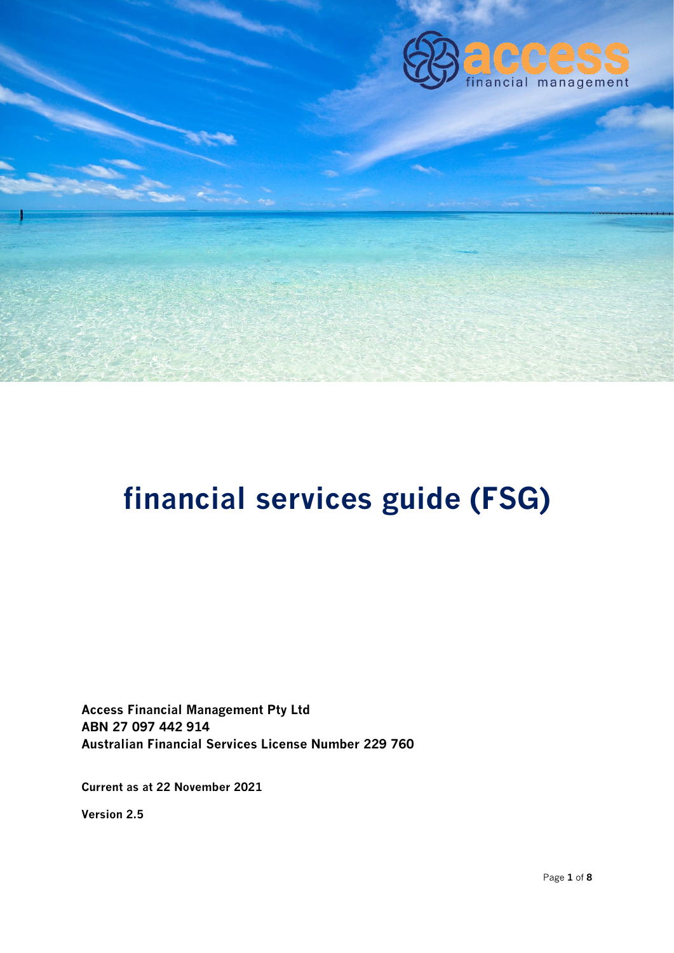

# **financial services guide (FSG)**

**Access Financial Management Pty Ltd ABN 27 097 442 914 Australian Financial Services License Number 229 760**

**Current as at 22 November 2021**

**Version 2.5**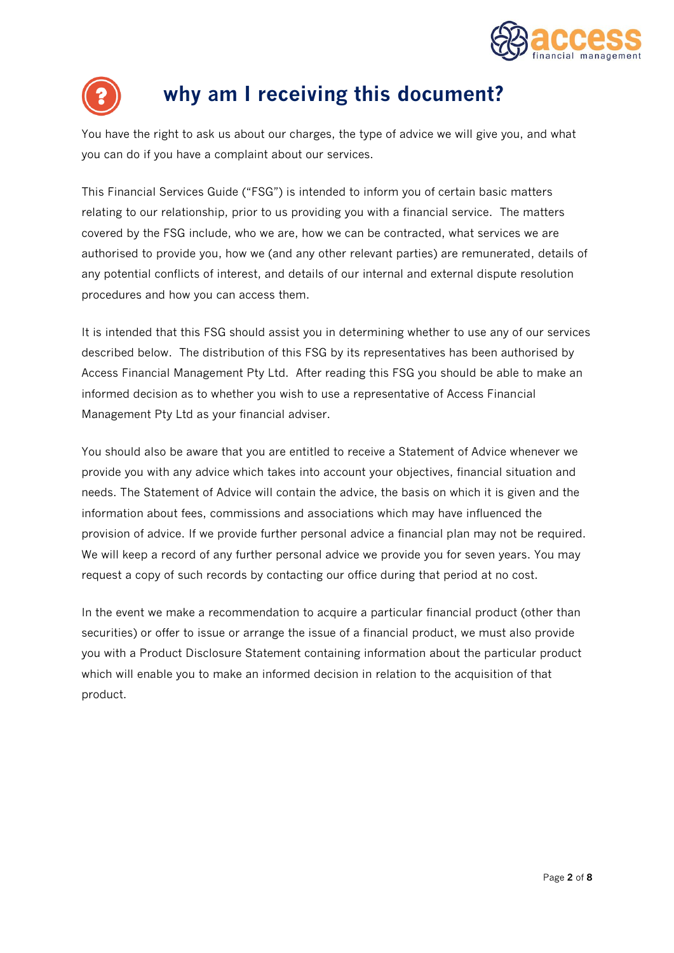



### **why am I receiving this document?**

**You have the right to ask us about our charges, the type of advice we will give you, and what you can do if you have a complaint about our services.**

**This Financial Services Guide ("FSG") is intended to inform you of certain basic matters relating to our relationship, prior to us providing you with a financial service. The matters covered by the FSG include, who we are, how we can be contracted, what services we are authorised to provide you, how we (and any other relevant parties) are remunerated, details of any potential conflicts of interest, and details of our internal and external dispute resolution procedures and how you can access them.** 

**It is intended that this FSG should assist you in determining whether to use any of our services described below. The distribution of this FSG by its representatives has been authorised by Access Financial Management Pty Ltd. After reading this FSG you should be able to make an informed decision as to whether you wish to use a representative of Access Financial Management Pty Ltd as your financial adviser.**

**You should also be aware that you are entitled to receive a Statement of Advice whenever we provide you with any advice which takes into account your objectives, financial situation and needs. The Statement of Advice will contain the advice, the basis on which it is given and the information about fees, commissions and associations which may have influenced the provision of advice. If we provide further personal advice a financial plan may not be required. We will keep a record of any further personal advice we provide you for seven years. You may request a copy of such records by contacting our office during that period at no cost.**

**In the event we make a recommendation to acquire a particular financial product (other than securities) or offer to issue or arrange the issue of a financial product, we must also provide you with a Product Disclosure Statement containing information about the particular product which will enable you to make an informed decision in relation to the acquisition of that product.**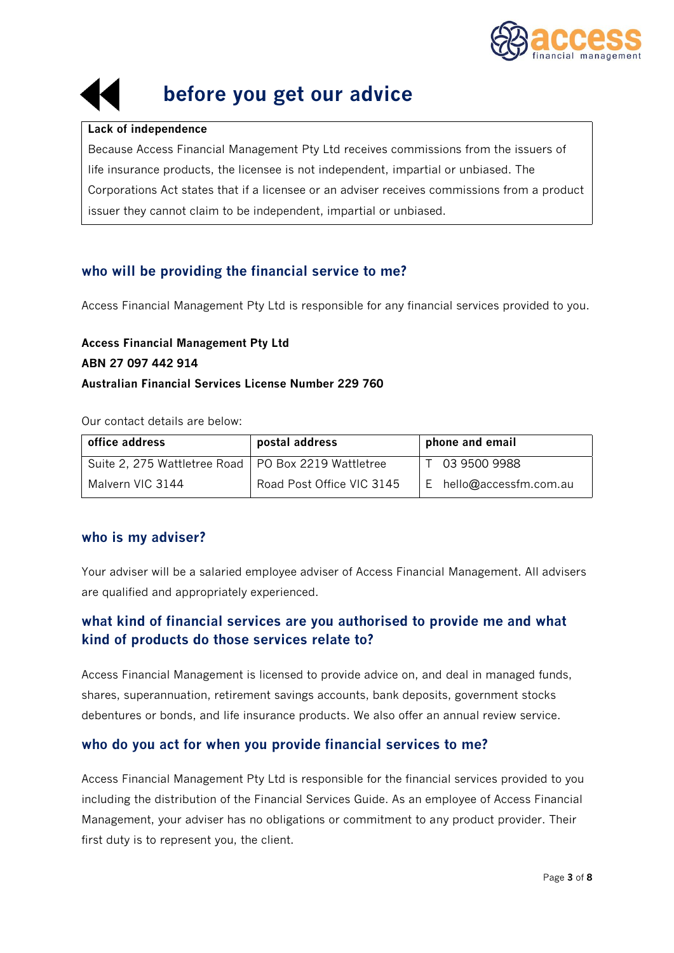



## **before you get our advice**

#### **Lack of independence**

**Because Access Financial Management Pty Ltd receives commissions from the issuers of life insurance products, the licensee is not independent, impartial or unbiased. The Corporations Act states that if a licensee or an adviser receives commissions from a product issuer they cannot claim to be independent, impartial or unbiased.**

#### **who will be providing the financial service to me?**

**Access Financial Management Pty Ltd is responsible for any financial services provided to you.**

#### **Access Financial Management Pty Ltd ABN 27 097 442 914 Australian Financial Services License Number 229 760**

**Our contact details are below:**

| office address                                        | postal address            | phone and email           |
|-------------------------------------------------------|---------------------------|---------------------------|
| Suite 2, 275 Wattletree Road   PO Box 2219 Wattletree |                           | 03 9500 9988              |
| Malvern VIC 3144                                      | Road Post Office VIC 3145 | $E$ hello@accessfm.com.au |

#### **who is my adviser?**

**Your adviser will be a salaried employee adviser of Access Financial Management. All advisers are qualified and appropriately experienced.**

#### **what kind of financial services are you authorised to provide me and what kind of products do those services relate to?**

**Access Financial Management is licensed to provide advice on, and deal in managed funds, shares, superannuation, retirement savings accounts, bank deposits, government stocks debentures or bonds, and life insurance products. We also offer an annual review service.**

#### **who do you act for when you provide financial services to me?**

**Access Financial Management Pty Ltd is responsible for the financial services provided to you including the distribution of the Financial Services Guide. As an employee of Access Financial Management, your adviser has no obligations or commitment to any product provider. Their first duty is to represent you, the client.**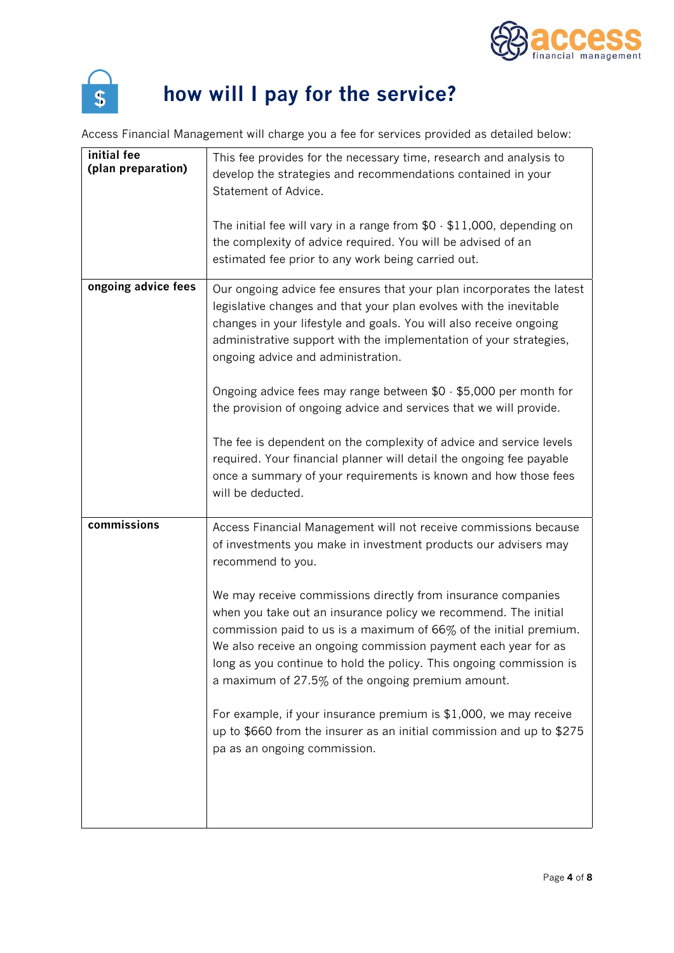



## **how will I pay for the service?**

**Access Financial Management will charge you a fee for services provided as detailed below:**

| initial fee<br>(plan preparation) | This fee provides for the necessary time, research and analysis to<br>develop the strategies and recommendations contained in your<br>Statement of Advice.<br>The initial fee will vary in a range from $$0 \cdot $11,000$ , depending on<br>the complexity of advice required. You will be advised of an<br>estimated fee prior to any work being carried out.                                                                                                                                                                                                                                                                                                                                                                              |
|-----------------------------------|----------------------------------------------------------------------------------------------------------------------------------------------------------------------------------------------------------------------------------------------------------------------------------------------------------------------------------------------------------------------------------------------------------------------------------------------------------------------------------------------------------------------------------------------------------------------------------------------------------------------------------------------------------------------------------------------------------------------------------------------|
| ongoing advice fees               | Our ongoing advice fee ensures that your plan incorporates the latest<br>legislative changes and that your plan evolves with the inevitable<br>changes in your lifestyle and goals. You will also receive ongoing<br>administrative support with the implementation of your strategies,<br>ongoing advice and administration.<br>Ongoing advice fees may range between \$0 - \$5,000 per month for<br>the provision of ongoing advice and services that we will provide.<br>The fee is dependent on the complexity of advice and service levels<br>required. Your financial planner will detail the ongoing fee payable<br>once a summary of your requirements is known and how those fees<br>will be deducted.                              |
| commissions                       | Access Financial Management will not receive commissions because<br>of investments you make in investment products our advisers may<br>recommend to you.<br>We may receive commissions directly from insurance companies<br>when you take out an insurance policy we recommend. The initial<br>commission paid to us is a maximum of 66% of the initial premium.<br>We also receive an ongoing commission payment each year for as<br>long as you continue to hold the policy. This ongoing commission is<br>a maximum of 27.5% of the ongoing premium amount.<br>For example, if your insurance premium is \$1,000, we may receive<br>up to \$660 from the insurer as an initial commission and up to \$275<br>pa as an ongoing commission. |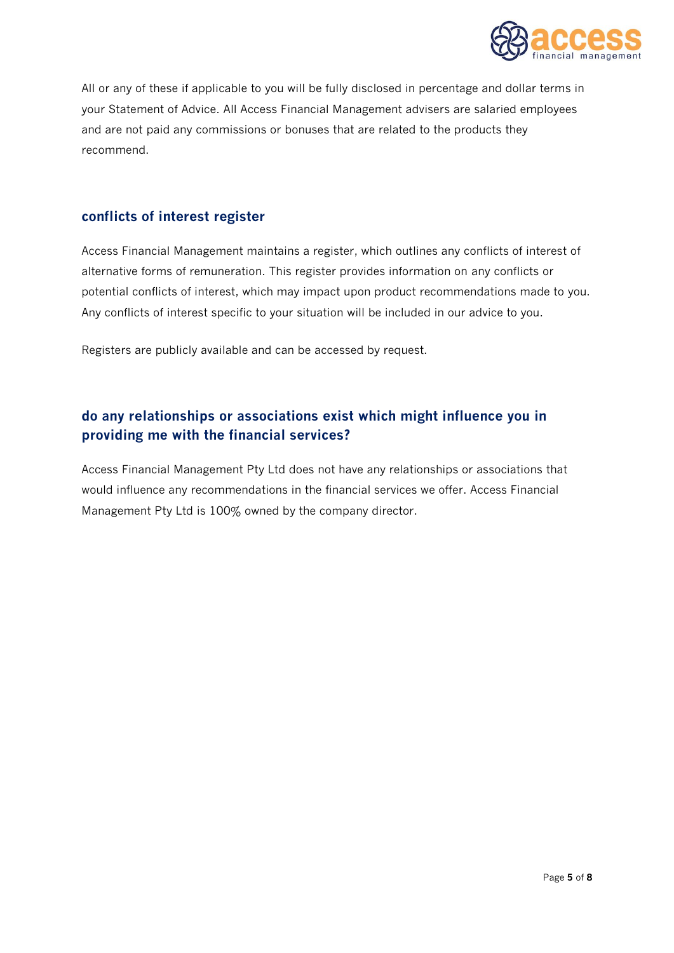

**All or any of these if applicable to you will be fully disclosed in percentage and dollar terms in your Statement of Advice. All Access Financial Management advisers are salaried employees and are not paid any commissions or bonuses that are related to the products they recommend.**

#### **conflicts of interest register**

**Access Financial Management maintains a register, which outlines any conflicts of interest of alternative forms of remuneration. This register provides information on any conflicts or potential conflicts of interest, which may impact upon product recommendations made to you. Any conflicts of interest specific to your situation will be included in our advice to you.**

**Registers are publicly available and can be accessed by request.**

#### **do any relationships or associations exist which might influence you in providing me with the financial services?**

**Access Financial Management Pty Ltd does not have any relationships or associations that would influence any recommendations in the financial services we offer. Access Financial Management Pty Ltd is 100% owned by the company director.**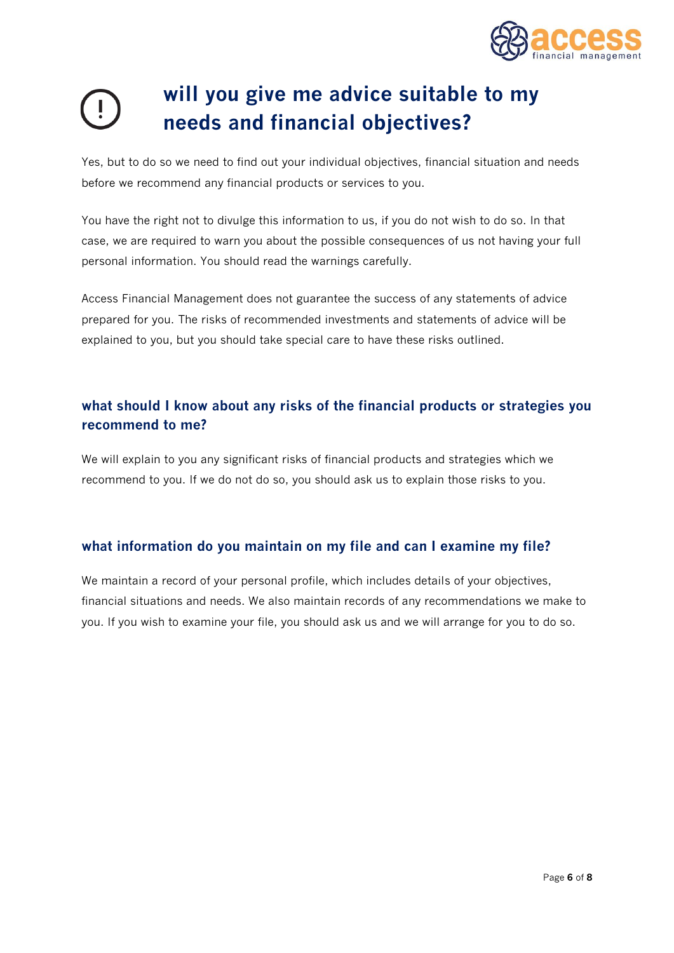

## **will you give me advice suitable to my needs and financial objectives?**

**Yes, but to do so we need to find out your individual objectives, financial situation and needs before we recommend any financial products or services to you.**

**You have the right not to divulge this information to us, if you do not wish to do so. In that case, we are required to warn you about the possible consequences of us not having your full personal information. You should read the warnings carefully.**

**Access Financial Management does not guarantee the success of any statements of advice prepared for you. The risks of recommended investments and statements of advice will be explained to you, but you should take special care to have these risks outlined.**

#### **what should I know about any risks of the financial products or strategies you recommend to me?**

**We will explain to you any significant risks of financial products and strategies which we recommend to you. If we do not do so, you should ask us to explain those risks to you.**

#### **what information do you maintain on my file and can I examine my file?**

**We maintain a record of your personal profile, which includes details of your objectives, financial situations and needs. We also maintain records of any recommendations we make to you. If you wish to examine your file, you should ask us and we will arrange for you to do so.**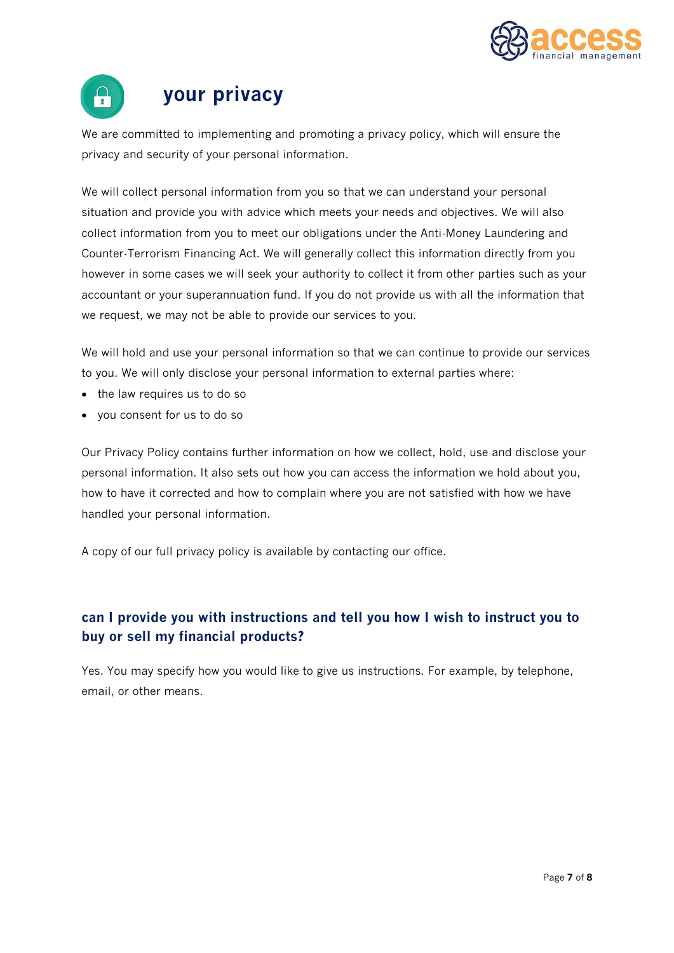



### **your privacy**

**We are committed to implementing and promoting a privacy policy, which will ensure the privacy and security of your personal information.** 

**We will collect personal information from you so that we can understand your personal situation and provide you with advice which meets your needs and objectives. We will also collect information from you to meet our obligations under the Anti-Money Laundering and Counter-Terrorism Financing Act. We will generally collect this information directly from you however in some cases we will seek your authority to collect it from other parties such as your accountant or your superannuation fund. If you do not provide us with all the information that we request, we may not be able to provide our services to you.**

**We will hold and use your personal information so that we can continue to provide our services to you. We will only disclose your personal information to external parties where:** 

- **the law requires us to do so**
- **you consent for us to do so**

**Our Privacy Policy contains further information on how we collect, hold, use and disclose your personal information. It also sets out how you can access the information we hold about you, how to have it corrected and how to complain where you are not satisfied with how we have handled your personal information.**

**A copy of our full privacy policy is available by contacting our office.**

#### **can I provide you with instructions and tell you how I wish to instruct you to buy or sell my financial products?**

**Yes. You may specify how you would like to give us instructions. For example, by telephone, email, or other means.**